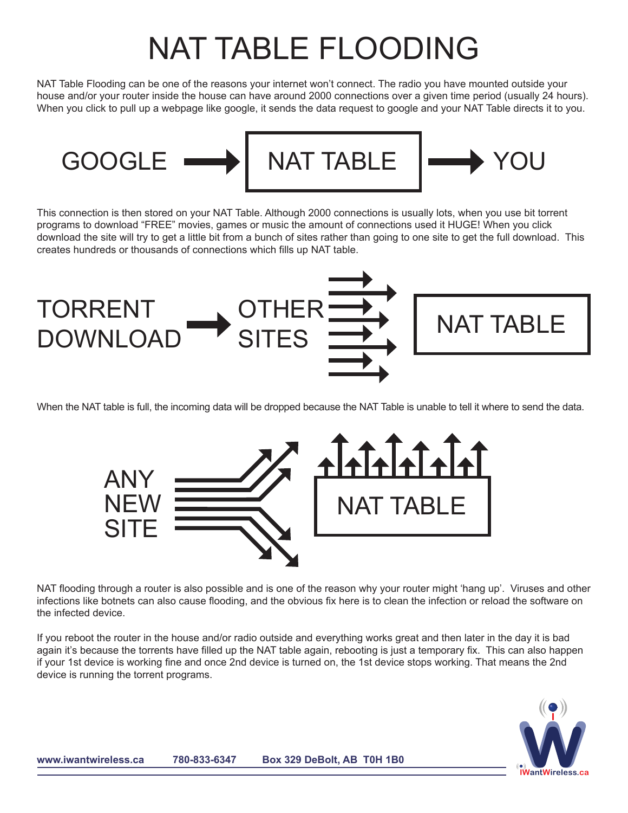## NAT TABLE FLOODING

NAT Table Flooding can be one of the reasons your internet won't connect. The radio you have mounted outside your house and/or your router inside the house can have around 2000 connections over a given time period (usually 24 hours). When you click to pull up a webpage like google, it sends the data request to google and your NAT Table directs it to you.



This connection is then stored on your NAT Table. Although 2000 connections is usually lots, when you use bit torrent programs to download "FREE" movies, games or music the amount of connections used it HUGE! When you click download the site will try to get a little bit from a bunch of sites rather than going to one site to get the full download. This creates hundreds or thousands of connections which fills up NAT table.



When the NAT table is full, the incoming data will be dropped because the NAT Table is unable to tell it where to send the data.



NAT flooding through a router is also possible and is one of the reason why your router might 'hang up'. Viruses and other infections like botnets can also cause flooding, and the obvious fix here is to clean the infection or reload the software on the infected device.

If you reboot the router in the house and/or radio outside and everything works great and then later in the day it is bad again it's because the torrents have filled up the NAT table again, rebooting is just a temporary fix. This can also happen if your 1st device is working fine and once 2nd device is turned on, the 1st device stops working. That means the 2nd device is running the torrent programs.

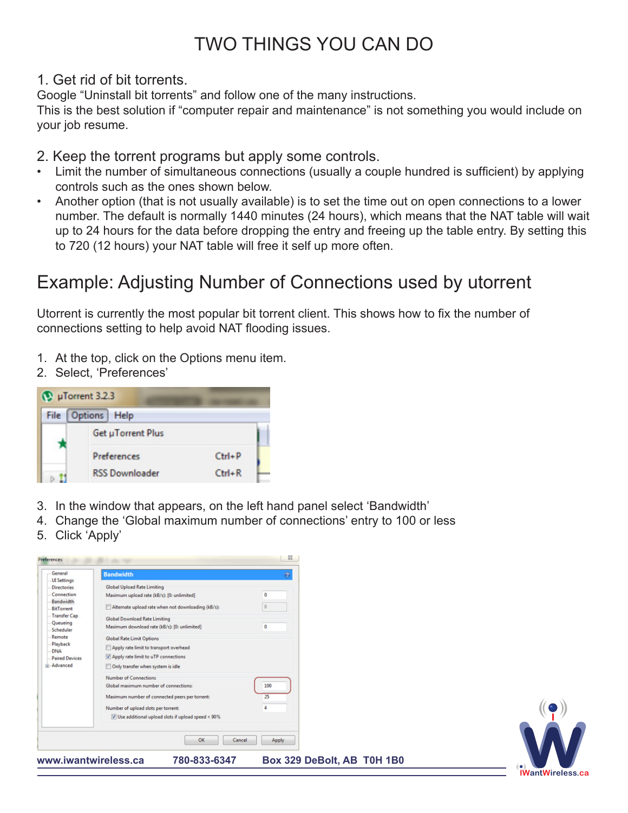## TWO THINGS YOU CAN DO

1. Get rid of bit torrents.

Google "Uninstall bit torrents" and follow one of the many instructions.

This is the best solution if "computer repair and maintenance" is not something you would include on your job resume.

- 2. Keep the torrent programs but apply some controls.
- Limit the number of simultaneous connections (usually a couple hundred is sufficient) by applying controls such as the ones shown below.
- Another option (that is not usually available) is to set the time out on open connections to a lower number. The default is normally 1440 minutes (24 hours), which means that the NAT table will wait up to 24 hours for the data before dropping the entry and freeing up the table entry. By setting this to 720 (12 hours) your NAT table will free it self up more often.

## Example: Adjusting Number of Connections used by utorrent

Utorrent is currently the most popular bit torrent client. This shows how to fix the number of connections setting to help avoid NAT flooding issues.

- 1. At the top, click on the Options menu item.
- 2. Select, 'Preferences'



- 3. In the window that appears, on the left hand panel select 'Bandwidth'
- 4. Change the 'Global maximum number of connections' entry to 100 or less
- 5. Click 'Apply'